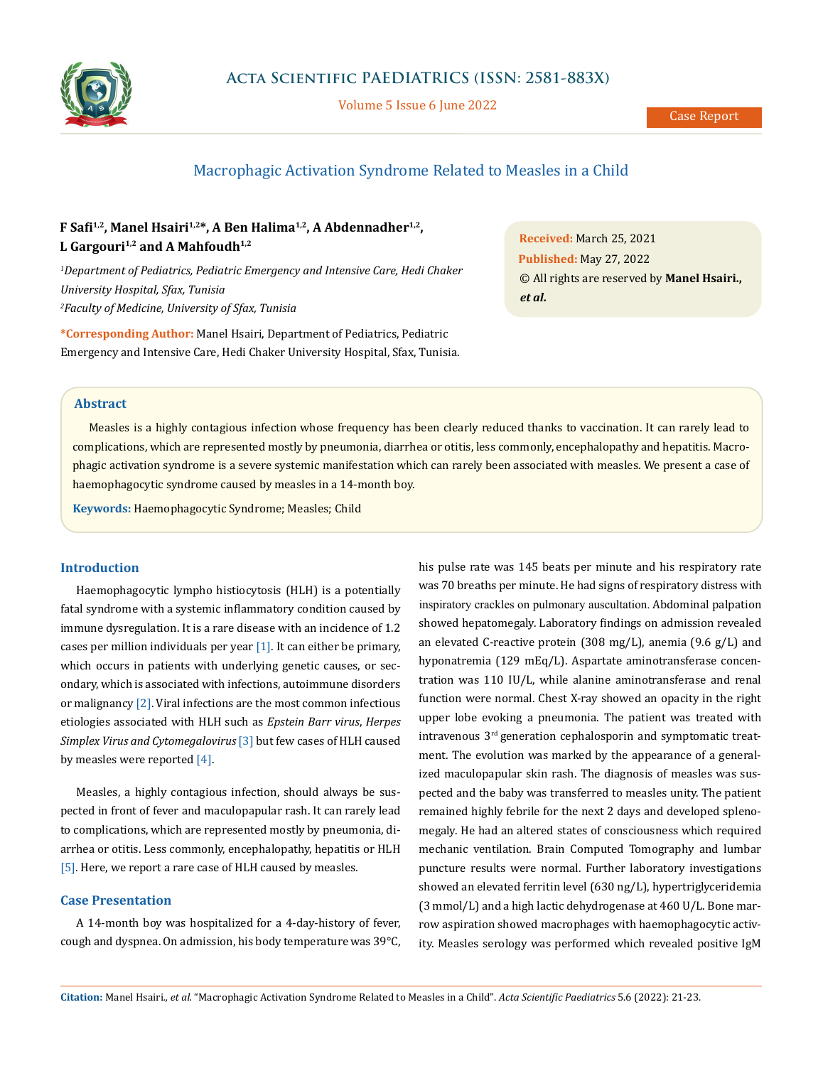

Volume 5 Issue 6 June 2022

# Macrophagic Activation Syndrome Related to Measles in a Child

## **F Safi1,2, Manel Hsairi1,2\*, A Ben Halima1,2, A Abdennadher1,2, L Gargouri1,2 and A Mahfoudh1,2**

*1 Department of Pediatrics, Pediatric Emergency and Intensive Care, Hedi Chaker University Hospital, Sfax, Tunisia 2 Faculty of Medicine, University of Sfax, Tunisia*

**\*Corresponding Author:** Manel Hsairi, Department of Pediatrics, Pediatric Emergency and Intensive Care, Hedi Chaker University Hospital, Sfax, Tunisia.

**Received:** March 25, 2021 **Published:** May 27, 2022 © All rights are reserved by **Manel Hsairi.,**  *et al***.**

#### **Abstract**

Measles is a highly contagious infection whose frequency has been clearly reduced thanks to vaccination. It can rarely lead to complications, which are represented mostly by pneumonia, diarrhea or otitis, less commonly, encephalopathy and hepatitis. Macrophagic activation syndrome is a severe systemic manifestation which can rarely been associated with measles. We present a case of haemophagocytic syndrome caused by measles in a 14-month boy.

**Keywords:** Haemophagocytic Syndrome; Measles; Child

## **Introduction**

Haemophagocytic lympho histiocytosis (HLH) is a potentially fatal syndrome with a systemic inflammatory condition caused by immune dysregulation. It is a rare disease with an incidence of 1.2 cases per million individuals per year [1]. It can either be primary, which occurs in patients with underlying genetic causes, or secondary, which is associated with infections, autoimmune disorders or malignancy [2]. Viral infections are the most common infectious etiologies associated with HLH such as *Epstein Barr virus*, *Herpes Simplex Virus and Cytomegalovirus* [3] but few cases of HLH caused by measles were reported [4].

Measles, a highly contagious infection, should always be suspected in front of fever and maculopapular rash. It can rarely lead to complications, which are represented mostly by pneumonia, diarrhea or otitis. Less commonly, encephalopathy, hepatitis or HLH [5]. Here, we report a rare case of HLH caused by measles.

## **Case Presentation**

A 14-month boy was hospitalized for a 4-day-history of fever, cough and dyspnea. On admission, his body temperature was 39°C, his pulse rate was 145 beats per minute and his respiratory rate was 70 breaths per minute. He had signs of respiratory distress with inspiratory crackles on pulmonary auscultation. Abdominal palpation showed hepatomegaly. Laboratory findings on admission revealed an elevated C-reactive protein (308 mg/L), anemia (9.6 g/L) and hyponatremia (129 mEq/L). Aspartate aminotransferase concentration was 110 IU/L, while alanine aminotransferase and renal function were normal. Chest X-ray showed an opacity in the right upper lobe evoking a pneumonia. The patient was treated with intravenous 3rd generation cephalosporin and symptomatic treatment. The evolution was marked by the appearance of a generalized maculopapular skin rash. The diagnosis of measles was suspected and the baby was transferred to measles unity. The patient remained highly febrile for the next 2 days and developed splenomegaly. He had an altered states of consciousness which required mechanic ventilation. Brain Computed Tomography and lumbar puncture results were normal. Further laboratory investigations showed an elevated ferritin level (630 ng/L), hypertriglyceridemia (3 mmol/L) and a high lactic dehydrogenase at 460 U/L. Bone marrow aspiration showed macrophages with haemophagocytic activity. Measles serology was performed which revealed positive IgM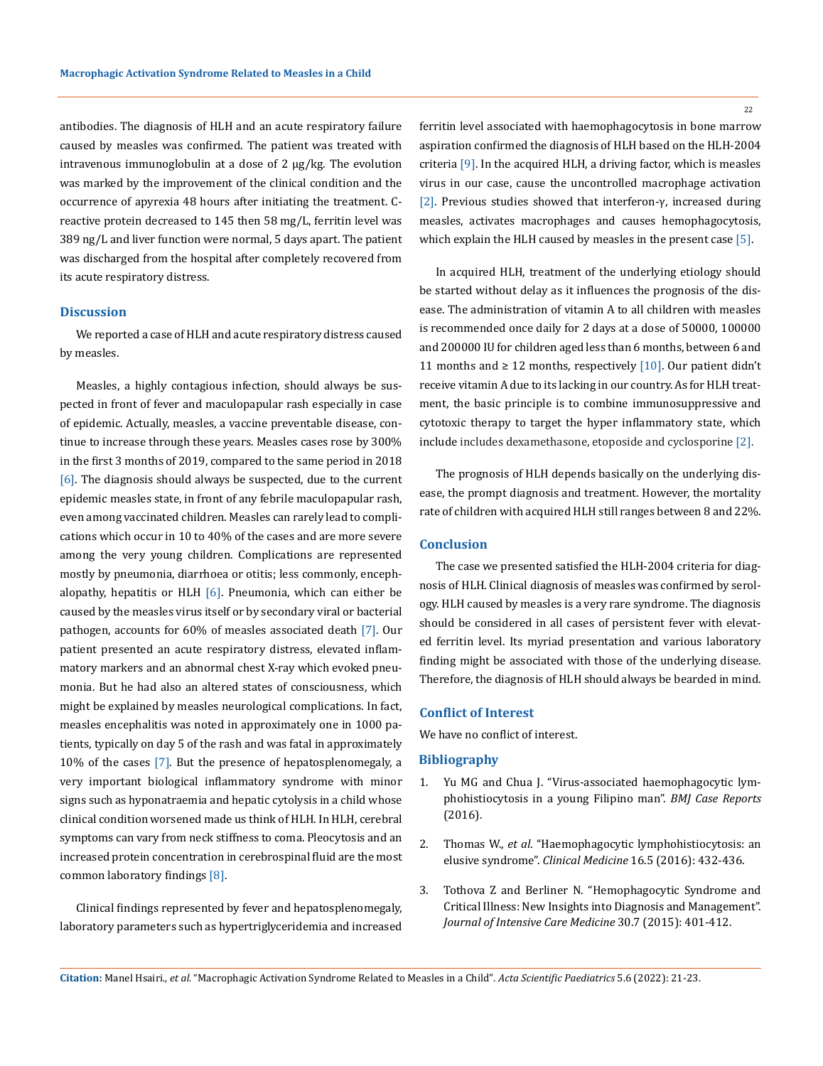antibodies. The diagnosis of HLH and an acute respiratory failure caused by measles was confirmed. The patient was treated with intravenous immunoglobulin at a dose of 2 µg/kg. The evolution was marked by the improvement of the clinical condition and the occurrence of apyrexia 48 hours after initiating the treatment. Creactive protein decreased to 145 then 58 mg/L, ferritin level was 389 ng/L and liver function were normal, 5 days apart. The patient was discharged from the hospital after completely recovered from its acute respiratory distress.

#### **Discussion**

We reported a case of HLH and acute respiratory distress caused by measles.

Measles, a highly contagious infection, should always be suspected in front of fever and maculopapular rash especially in case of epidemic. Actually, measles, a vaccine preventable disease, continue to increase through these years. Measles cases rose by 300% in the first 3 months of 2019, compared to the same period in 2018 [6]. The diagnosis should always be suspected, due to the current epidemic measles state, in front of any febrile maculopapular rash, even among vaccinated children. Measles can rarely lead to complications which occur in 10 to 40% of the cases and are more severe among the very young children. Complications are represented mostly by pneumonia, diarrhoea or otitis; less commonly, encephalopathy, hepatitis or HLH  $[6]$ . Pneumonia, which can either be caused by the measles virus itself or by secondary viral or bacterial pathogen, accounts for 60% of measles associated death [7]. Our patient presented an acute respiratory distress, elevated inflammatory markers and an abnormal chest X-ray which evoked pneumonia. But he had also an altered states of consciousness, which might be explained by measles neurological complications. In fact, measles encephalitis was noted in approximately one in 1000 patients, typically on day 5 of the rash and was fatal in approximately 10% of the cases [7]. But the presence of hepatosplenomegaly, a very important biological inflammatory syndrome with minor signs such as hyponatraemia and hepatic cytolysis in a child whose clinical condition worsened made us think of HLH. In HLH, cerebral symptoms can vary from neck stiffness to coma. Pleocytosis and an increased protein concentration in cerebrospinal fluid are the most common laboratory findings [8].

Clinical findings represented by fever and hepatosplenomegaly, laboratory parameters such as hypertriglyceridemia and increased 22

ferritin level associated with haemophagocytosis in bone marrow aspiration confirmed the diagnosis of HLH based on the HLH-2004 criteria [9]. In the acquired HLH, a driving factor, which is measles virus in our case, cause the uncontrolled macrophage activation [2]. Previous studies showed that interferon-γ, increased during measles, activates macrophages and causes hemophagocytosis, which explain the HLH caused by measles in the present case [5].

In acquired HLH, treatment of the underlying etiology should be started without delay as it influences the prognosis of the disease. The administration of vitamin A to all children with measles is recommended once daily for 2 days at a dose of 50000, 100000 and 200000 IU for children aged less than 6 months, between 6 and 11 months and  $\geq$  12 months, respectively [10]. Our patient didn't receive vitamin A due to its lacking in our country. As for HLH treatment, the basic principle is to combine immunosuppressive and cytotoxic therapy to target the hyper inflammatory state, which include includes dexamethasone, etoposide and cyclosporine [2].

The prognosis of HLH depends basically on the underlying disease, the prompt diagnosis and treatment. However, the mortality rate of children with acquired HLH still ranges between 8 and 22%.

### **Conclusion**

The case we presented satisfied the HLH-2004 criteria for diagnosis of HLH. Clinical diagnosis of measles was confirmed by serology. HLH caused by measles is a very rare syndrome. The diagnosis should be considered in all cases of persistent fever with elevated ferritin level. Its myriad presentation and various laboratory finding might be associated with those of the underlying disease. Therefore, the diagnosis of HLH should always be bearded in mind.

#### **Conflict of Interest**

We have no conflict of interest.

#### **Bibliography**

- 1. [Yu MG and Chua J. "Virus-associated haemophagocytic lym](https://pubmed.ncbi.nlm.nih.gov/27284096/)[phohistiocytosis in a young Filipino man".](https://pubmed.ncbi.nlm.nih.gov/27284096/) *BMJ Case Reports* [\(2016\).](https://pubmed.ncbi.nlm.nih.gov/27284096/)
- 2. Thomas W., *et al*[. "Haemophagocytic lymphohistiocytosis: an](https://pubmed.ncbi.nlm.nih.gov/27697804/) elusive syndrome". *Clinical Medicine* [16.5 \(2016\): 432-436.](https://pubmed.ncbi.nlm.nih.gov/27697804/)
- 3. [Tothova Z and Berliner N. "Hemophagocytic Syndrome and](https://pubmed.ncbi.nlm.nih.gov/24407034/) [Critical Illness: New Insights into Diagnosis and Management".](https://pubmed.ncbi.nlm.nih.gov/24407034/)  *[Journal of Intensive Care Medicine](https://pubmed.ncbi.nlm.nih.gov/24407034/)* 30.7 (2015): 401-412.

**Citation:** Manel Hsairi*., et al.* "Macrophagic Activation Syndrome Related to Measles in a Child". *Acta Scientific Paediatrics* 5.6 (2022): 21-23.